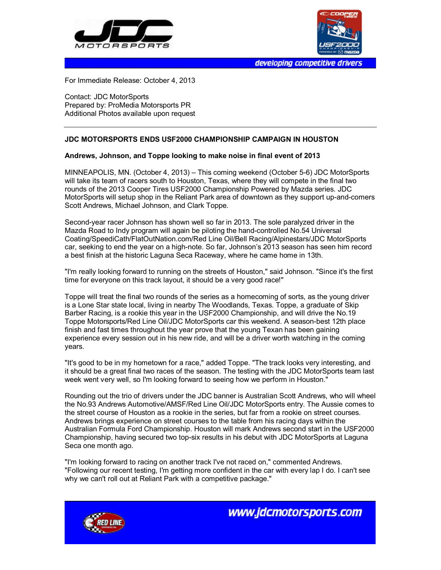



developing competitive drivers

For Immediate Release: October 4, 2013

Contact: JDC MotorSports Prepared by: ProMedia Motorsports PR Additional Photos available upon request

## **JDC MOTORSPORTS ENDS USF2000 CHAMPIONSHIP CAMPAIGN IN HOUSTON**

## **Andrews, Johnson, and Toppe looking to make noise in final event of 2013**

MINNEAPOLIS, MN. (October 4, 2013) – This coming weekend (October 5-6) JDC MotorSports will take its team of racers south to Houston, Texas, where they will compete in the final two rounds of the 2013 Cooper Tires USF2000 Championship Powered by Mazda series. JDC MotorSports will setup shop in the Reliant Park area of downtown as they support up-and-comers Scott Andrews, Michael Johnson, and Clark Toppe.

Second-year racer Johnson has shown well so far in 2013. The sole paralyzed driver in the Mazda Road to Indy program will again be piloting the hand-controlled No.54 Universal Coating/SpeediCath/FlatOutNation.com/Red Line Oil/Bell Racing/Alpinestars/JDC MotorSports car, seeking to end the year on a high-note. So far, Johnson's 2013 season has seen him record a best finish at the historic Laguna Seca Raceway, where he came home in 13th.

"I'm really looking forward to running on the streets of Houston," said Johnson. "Since it's the first time for everyone on this track layout, it should be a very good race!"

Toppe will treat the final two rounds of the series as a homecoming of sorts, as the young driver is a Lone Star state local, living in nearby The Woodlands, Texas. Toppe, a graduate of Skip Barber Racing, is a rookie this year in the USF2000 Championship, and will drive the No.19 Toppe Motorsports/Red Line Oil/JDC MotorSports car this weekend. A season-best 12th place finish and fast times throughout the year prove that the young Texan has been gaining experience every session out in his new ride, and will be a driver worth watching in the coming years.

"It's good to be in my hometown for a race," added Toppe. "The track looks very interesting, and it should be a great final two races of the season. The testing with the JDC MotorSports team last week went very well, so I'm looking forward to seeing how we perform in Houston."

Rounding out the trio of drivers under the JDC banner is Australian Scott Andrews, who will wheel the No.93 Andrews Automotive/AMSF/Red Line Oil/JDC MotorSports entry. The Aussie comes to the street course of Houston as a rookie in the series, but far from a rookie on street courses. Andrews brings experience on street courses to the table from his racing days within the Australian Formula Ford Championship. Houston will mark Andrews second start in the USF2000 Championship, having secured two top-six results in his debut with JDC MotorSports at Laguna Seca one month ago.

"I'm looking forward to racing on another track I've not raced on," commented Andrews. "Following our recent testing, I'm getting more confident in the car with every lap I do. I can't see why we can't roll out at Reliant Park with a competitive package."



www.jdcmotorsports.com